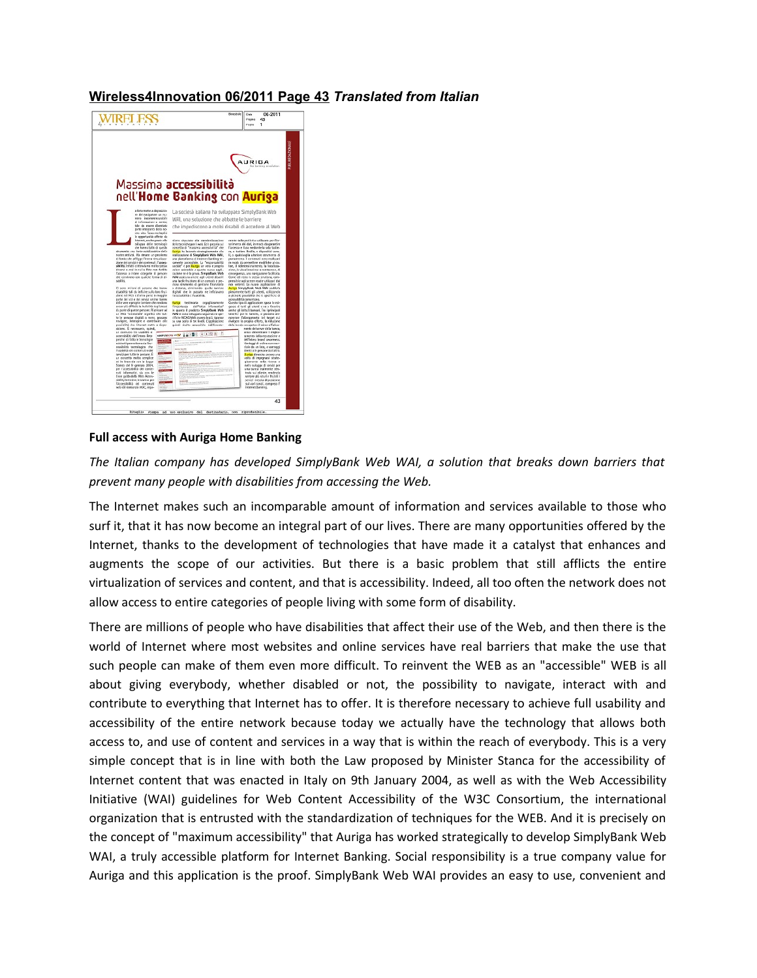## **Wireless4Innovation 06/2011 Page 43** *Translated from Italian*



## **Full access with Auriga Home Banking**

*The Italian company has developed SimplyBank Web WAI, a solution that breaks down barriers that prevent many people with disabilities from accessing the Web.*

The Internet makes such an incomparable amount of information and services available to those who surf it, that it has now become an integral part of our lives. There are many opportunities offered by the Internet, thanks to the development of technologies that have made it a catalyst that enhances and augments the scope of our activities. But there is a basic problem that still afflicts the entire virtualization of services and content, and that is accessibility. Indeed, all too often the network does not allow access to entire categories of people living with some form of disability.

There are millions of people who have disabilities that affect their use of the Web, and then there is the world of Internet where most websites and online services have real barriers that make the use that such people can make of them even more difficult. To reinvent the WEB as an "accessible" WEB is all about giving everybody, whether disabled or not, the possibility to navigate, interact with and contribute to everything that Internet has to offer. It is therefore necessary to achieve full usability and accessibility of the entire network because today we actually have the technology that allows both access to, and use of content and services in a way that is within the reach of everybody. This is a very simple concept that is in line with both the Law proposed by Minister Stanca for the accessibility of Internet content that was enacted in Italy on 9th January 2004, as well as with the Web Accessibility Initiative (WAI) guidelines for Web Content Accessibility of the W3C Consortium, the international organization that is entrusted with the standardization of techniques for the WEB. And it is precisely on the concept of "maximum accessibility" that Auriga has worked strategically to develop SimplyBank Web WAI, a truly accessible platform for Internet Banking. Social responsibility is a true company value for Auriga and this application is the proof. SimplyBank Web WAI provides an easy to use, convenient and